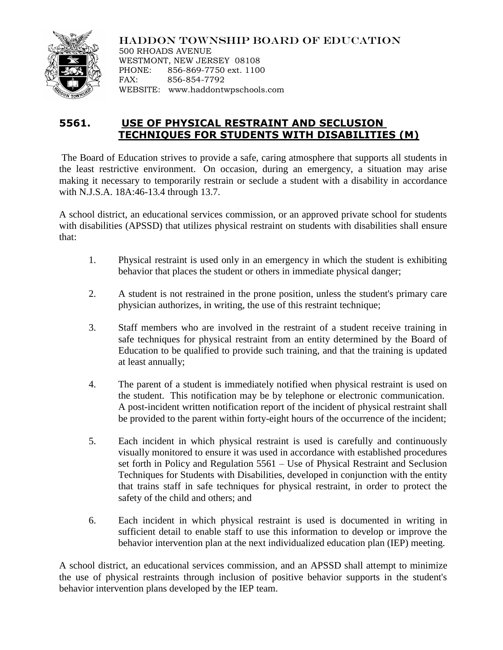

HADDON TOWNSHIP BOARD OF EDUCATION 500 RHOADS AVENUE WESTMONT, NEW JERSEY 08108

PHONE: 856-869-7750 ext. 1100 FAX: 856-854-7792 WEBSITE: www.haddontwpschools.com

## **5561. USE OF PHYSICAL RESTRAINT AND SECLUSION TECHNIQUES FOR STUDENTS WITH DISABILITIES (M)**

The Board of Education strives to provide a safe, caring atmosphere that supports all students in the least restrictive environment. On occasion, during an emergency, a situation may arise making it necessary to temporarily restrain or seclude a student with a disability in accordance with N.J.S.A. 18A:46-13.4 through 13.7.

A school district, an educational services commission, or an approved private school for students with disabilities (APSSD) that utilizes physical restraint on students with disabilities shall ensure that:

- 1. Physical restraint is used only in an emergency in which the student is exhibiting behavior that places the student or others in immediate physical danger;
- 2. A student is not restrained in the prone position, unless the student's primary care physician authorizes, in writing, the use of this restraint technique;
- 3. Staff members who are involved in the restraint of a student receive training in safe techniques for physical restraint from an entity determined by the Board of Education to be qualified to provide such training, and that the training is updated at least annually;
- 4. The parent of a student is immediately notified when physical restraint is used on the student. This notification may be by telephone or electronic communication. A post-incident written notification report of the incident of physical restraint shall be provided to the parent within forty-eight hours of the occurrence of the incident;
- 5. Each incident in which physical restraint is used is carefully and continuously visually monitored to ensure it was used in accordance with established procedures set forth in Policy and Regulation 5561 – Use of Physical Restraint and Seclusion Techniques for Students with Disabilities, developed in conjunction with the entity that trains staff in safe techniques for physical restraint, in order to protect the safety of the child and others; and
- 6. Each incident in which physical restraint is used is documented in writing in sufficient detail to enable staff to use this information to develop or improve the behavior intervention plan at the next individualized education plan (IEP) meeting.

A school district, an educational services commission, and an APSSD shall attempt to minimize the use of physical restraints through inclusion of positive behavior supports in the student's behavior intervention plans developed by the IEP team.